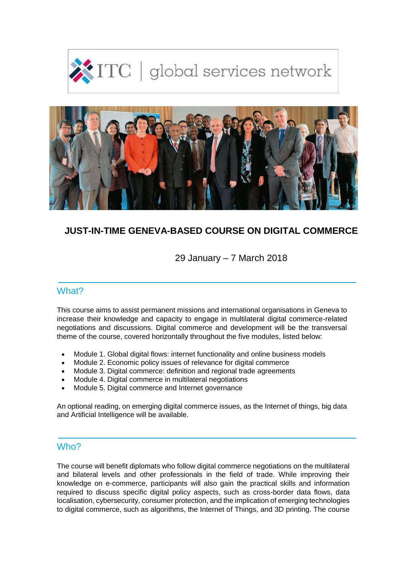



## **JUST-IN-TIME GENEVA-BASED COURSE ON DIGITAL COMMERCE**

29 January – 7 March 2018

## What?

This course aims to assist permanent missions and international organisations in Geneva to increase their knowledge and capacity to engage in multilateral digital commerce-related negotiations and discussions. Digital commerce and development will be the transversal theme of the course, covered horizontally throughout the five modules, listed below:

- Module 1. Global digital flows: internet functionality and online business models
- Module 2. Economic policy issues of relevance for digital commerce
- Module 3. Digital commerce: definition and regional trade agreements
- Module 4. Digital commerce in multilateral negotiations
- Module 5. Digital commerce and Internet governance

An optional reading, on emerging digital commerce issues, as the Internet of things, big data and Artificial Intelligence will be available.

### Who?

The course will benefit diplomats who follow digital commerce negotiations on the multilateral and bilateral levels and other professionals in the field of trade. While improving their knowledge on e-commerce, participants will also gain the practical skills and information required to discuss specific digital policy aspects, such as cross-border data flows, data localisation, cybersecurity, consumer protection, and the implication of emerging technologies to digital commerce, such as algorithms, the Internet of Things, and 3D printing. The course